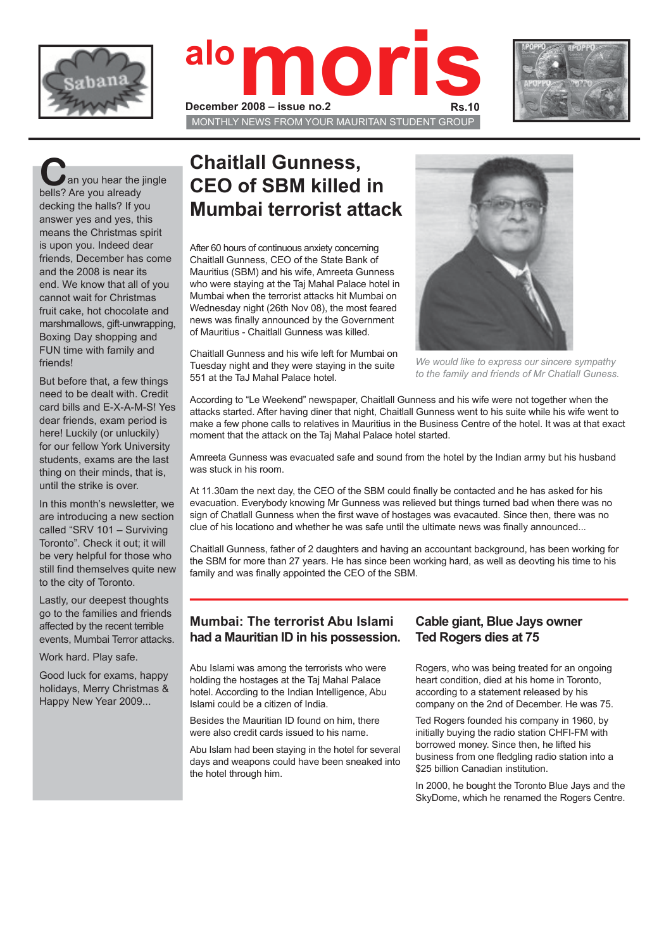





an you hear the jingle bells? Are you already decking the halls? If you answer yes and yes, this means the Christmas spirit is upon you. Indeed dear friends, December has come and the 2008 is near its end. We know that all of you cannot wait for Christmas fruit cake, hot chocolate and marshmallows, gift-unwrapping, Boxing Day shopping and FUN time with family and friends!

But before that, a few things need to be dealt with. Credit card bills and E-X-A-M-S! Yes dear friends, exam period is here! Luckily (or unluckily) for our fellow York University students, exams are the last thing on their minds, that is, until the strike is over.

In this month's newsletter, we are introducing a new section called "SRV 101 – Surviving Toronto". Check it out; it will be very helpful for those who still find themselves quite new to the city of Toronto.

Lastly, our deepest thoughts go to the families and friends affected by the recent terrible events, Mumbai Terror attacks.

Work hard. Play safe.

Good luck for exams, happy holidays, Merry Christmas & Happy New Year 2009...

## **Chaitlall Gunness, CEO of SBM killed in Mumbai terrorist attack**

After 60 hours of continuous anxiety concerning Chaitlall Gunness, CEO of the State Bank of Mauritius (SBM) and his wife, Amreeta Gunness who were staying at the Taj Mahal Palace hotel in Mumbai when the terrorist attacks hit Mumbai on Wednesday night (26th Nov 08), the most feared news was finally announced by the Government of Mauritius - Chaitlall Gunness was killed.

Chaitlall Gunness and his wife left for Mumbai on Tuesday night and they were staying in the suite

551 at the TaJ Mahal Palace hotel.



*We would like to express our sincere sympathy to the family and friends of Mr Chatlall Guness.*

According to "Le Weekend" newspaper, Chaitlall Gunness and his wife were not together when the attacks started. After having diner that night, Chaitlall Gunness went to his suite while his wife went to make a few phone calls to relatives in Mauritius in the Business Centre of the hotel. It was at that exact moment that the attack on the Taj Mahal Palace hotel started.

Amreeta Gunness was evacuated safe and sound from the hotel by the Indian army but his husband was stuck in his room.

At 11.30am the next day, the CEO of the SBM could finally be contacted and he has asked for his evacuation. Everybody knowing Mr Gunness was relieved but things turned bad when there was no sign of Chatlall Gunness when the first wave of hostages was evacauted. Since then, there was no clue of his locationo and whether he was safe until the ultimate news was finally announced...

Chaitlall Gunness, father of 2 daughters and having an accountant background, has been working for the SBM for more than 27 years. He has since been working hard, as well as deovting his time to his family and was finally appointed the CEO of the SBM.

### **Mumbai: The terrorist Abu Islami had a Mauritian ID in his possession.**

Abu Islami was among the terrorists who were holding the hostages at the Taj Mahal Palace hotel. According to the Indian Intelligence, Abu Islami could be a citizen of India.

Besides the Mauritian ID found on him, there were also credit cards issued to his name.

Abu Islam had been staying in the hotel for several days and weapons could have been sneaked into the hotel through him.

### **Cable giant, Blue Jays owner Ted Rogers dies at 75**

Rogers, who was being treated for an ongoing heart condition, died at his home in Toronto, according to a statement released by his company on the 2nd of December. He was 75.

Ted Rogers founded his company in 1960, by initially buying the radio station CHFI-FM with borrowed money. Since then, he lifted his business from one fledgling radio station into a \$25 billion Canadian institution.

In 2000, he bought the Toronto Blue Jays and the SkyDome, which he renamed the Rogers Centre.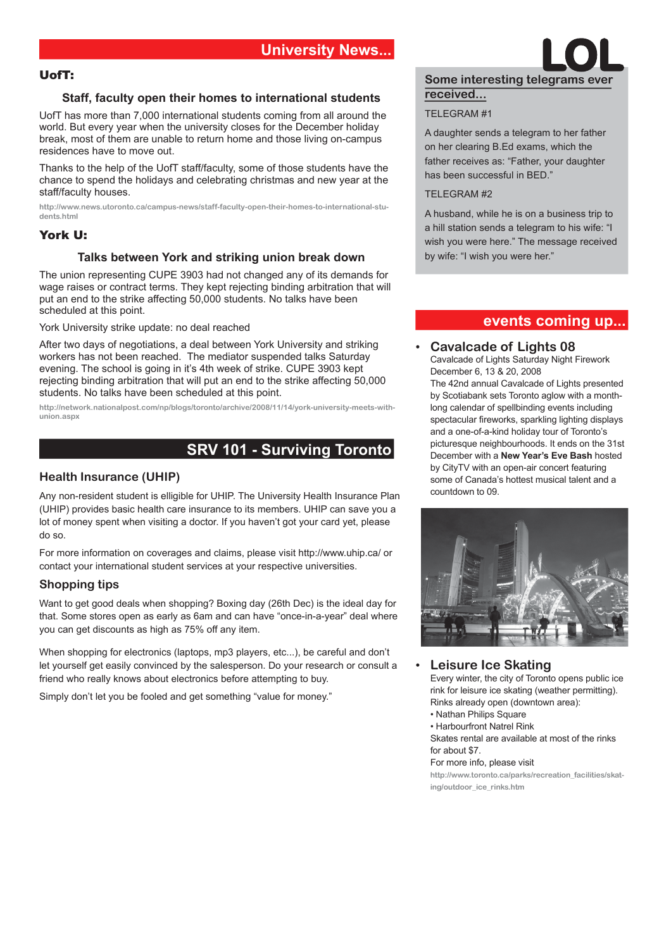#### UofT:

#### **Staff, faculty open their homes to international students**

UofT has more than 7,000 international students coming from all around the world. But every year when the university closes for the December holiday break, most of them are unable to return home and those living on-campus residences have to move out.

Thanks to the help of the UofT staff/faculty, some of those students have the chance to spend the holidays and celebrating christmas and new year at the staff/faculty houses.

**http://www.news.utoronto.ca/campus-news/staff-faculty-open-their-homes-to-international-students.html**

#### York U:

#### **Talks between York and striking union break down**

The union representing CUPE 3903 had not changed any of its demands for wage raises or contract terms. They kept rejecting binding arbitration that will put an end to the strike affecting 50,000 students. No talks have been scheduled at this point.

York University strike update: no deal reached

After two days of negotiations, a deal between York University and striking workers has not been reached. The mediator suspended talks Saturday evening. The school is going in it's 4th week of strike. CUPE 3903 kept rejecting binding arbitration that will put an end to the strike affecting 50,000 students. No talks have been scheduled at this point.

**http://network.nationalpost.com/np/blogs/toronto/archive/2008/11/14/york-university-meets-withunion.aspx**

## **SRV 101 - Surviving Toronto**

#### **Health Insurance (UHIP)**

Any non-resident student is elligible for UHIP. The University Health Insurance Plan (UHIP) provides basic health care insurance to its members. UHIP can save you a lot of money spent when visiting a doctor. If you haven't got your card yet, please do so.

For more information on coverages and claims, please visit http://www.uhip.ca/ or contact your international student services at your respective universities.

#### **Shopping tips**

Want to get good deals when shopping? Boxing day (26th Dec) is the ideal day for that. Some stores open as early as 6am and can have "once-in-a-year" deal where you can get discounts as high as 75% off any item.

When shopping for electronics (laptops, mp3 players, etc...), be careful and don't let yourself get easily convinced by the salesperson. Do your research or consult a friend who really knows about electronics before attempting to buy.

Simply don't let you be fooled and get something "value for money."

# **Some interesting telegrams ever LOL received...**

#### TELEGRAM #1

A daughter sends a telegram to her father on her clearing B.Ed exams, which the father receives as: "Father, your daughter has been successful in BED."

#### TELEGRAM #2

A husband, while he is on a business trip to a hill station sends a telegram to his wife: "I wish you were here." The message received by wife: "I wish you were her."

### **events coming up...**

#### • **Cavalcade of Lights 08** Cavalcade of Lights Saturday Night Firework December 6, 13 & 20, 2008 The 42nd annual Cavalcade of Lights presented by Scotiabank sets Toronto aglow with a monthlong calendar of spellbinding events including spectacular fireworks, sparkling lighting displays and a one-of-a-kind holiday tour of Toronto's picturesque neighbourhoods. It ends on the 31st December with a **New Year's Eve Bash** hosted by CityTV with an open-air concert featuring some of Canada's hottest musical talent and a countdown to 09.



#### • **Leisure Ice Skating**

Every winter, the city of Toronto opens public ice rink for leisure ice skating (weather permitting). Rinks already open (downtown area):

- Nathan Philips Square
- Harbourfront Natrel Rink

Skates rental are available at most of the rinks for about \$7.

#### For more info, please visit

**http://www.toronto.ca/parks/recreation\_facilities/skating/outdoor\_ice\_rinks.htm**